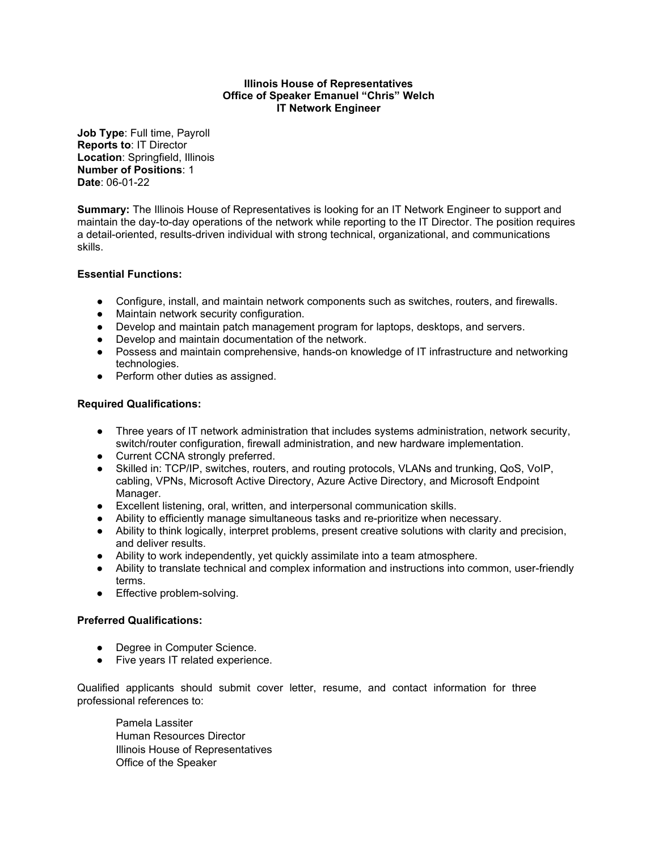#### **Illinois House of Representatives Office of Speaker Emanuel "Chris" Welch IT Network Engineer**

**Job Type**: Full time, Payroll **Reports to**: IT Director **Location**: Springfield, Illinois **Number of Positions**: 1 **Date**: 06-01-22

**Summary:** The Illinois House of Representatives is looking for an IT Network Engineer to support and maintain the day-to-day operations of the network while reporting to the IT Director. The position requires a detail-oriented, results-driven individual with strong technical, organizational, and communications skills.

# **Essential Functions:**

- Configure, install, and maintain network components such as switches, routers, and firewalls.
- Maintain network security configuration.
- Develop and maintain patch management program for laptops, desktops, and servers.
- Develop and maintain documentation of the network.
- Possess and maintain comprehensive, hands-on knowledge of IT infrastructure and networking technologies.
- Perform other duties as assigned.

# **Required Qualifications:**

- Three years of IT network administration that includes systems administration, network security, switch/router configuration, firewall administration, and new hardware implementation.
- Current CCNA strongly preferred.
- Skilled in: TCP/IP, switches, routers, and routing protocols, VLANs and trunking, QoS, VoIP, cabling, VPNs, Microsoft Active Directory, Azure Active Directory, and Microsoft Endpoint Manager.
- Excellent listening, oral, written, and interpersonal communication skills.
- Ability to efficiently manage simultaneous tasks and re-prioritize when necessary.
- Ability to think logically, interpret problems, present creative solutions with clarity and precision, and deliver results.
- Ability to work independently, yet quickly assimilate into a team atmosphere.
- Ability to translate technical and complex information and instructions into common, user-friendly terms.
- Effective problem-solving.

# **Preferred Qualifications:**

- Degree in Computer Science.
- Five years IT related experience.

Qualified applicants should submit cover letter, resume, and contact information for three professional references to:

Pamela Lassiter Human Resources Director Illinois House of Representatives Office of the Speaker